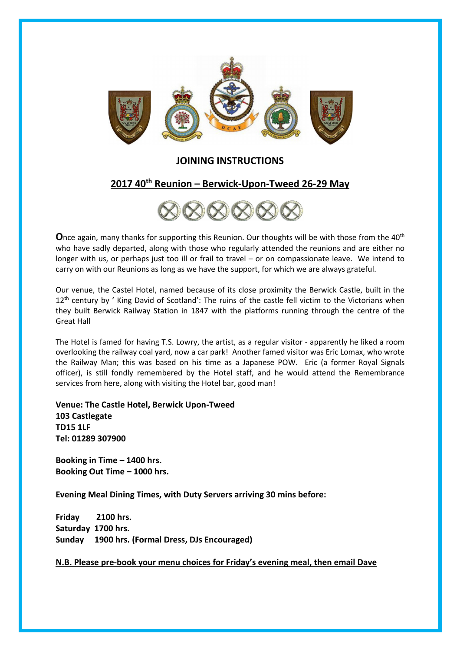

## JOINING INSTRUCTIONS

# 2017 40<sup>th</sup> Reunion - Berwick-Upon-Tweed 26-29 May



**O**nce again, many thanks for supporting this Reunion. Our thoughts will be with those from the 40<sup>th</sup> who have sadly departed, along with those who regularly attended the reunions and are either no longer with us, or perhaps just too ill or frail to travel – or on compassionate leave. We intend to carry on with our Reunions as long as we have the support, for which we are always grateful.

Our venue, the Castel Hotel, named because of its close proximity the Berwick Castle, built in the 12<sup>th</sup> century by ' King David of Scotland': The ruins of the castle fell victim to the Victorians when they built Berwick Railway Station in 1847 with the platforms running through the centre of the Great Hall

The Hotel is famed for having T.S. Lowry, the artist, as a regular visitor - apparently he liked a room overlooking the railway coal yard, now a car park! Another famed visitor was Eric Lomax, who wrote the Railway Man; this was based on his time as a Japanese POW. Eric (a former Royal Signals officer), is still fondly remembered by the Hotel staff, and he would attend the Remembrance services from here, along with visiting the Hotel bar, good man!

Venue: The Castle Hotel, Berwick Upon-Tweed 103 Castlegate TD15 1LF Tel: 01289 307900

Booking in Time – 1400 hrs. Booking Out Time – 1000 hrs.

Evening Meal Dining Times, with Duty Servers arriving 30 mins before:

Friday 2100 hrs. Saturday 1700 hrs. Sunday 1900 hrs. (Formal Dress, DJs Encouraged)

N.B. Please pre-book your menu choices for Friday's evening meal, then email Dave